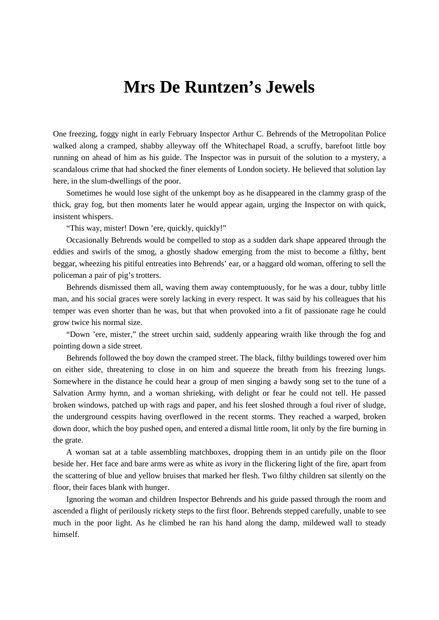## **Mrs De Runtzen's Jewels**

One freezing, foggy night in early February Inspector Arthur C. Behrends of the Metropolitan Police walked along a cramped, shabby alleyway off the Whitechapel Road, a scruffy, barefoot little boy running on ahead of him as his guide. The Inspector was in pursuit of the solution to a mystery, a scandalous crime that had shocked the finer elements of London society. He believed that solution lay here, in the slum-dwellings of the poor.

Sometimes he would lose sight of the unkempt boy as he disappeared in the clammy grasp of the thick, gray fog, but then moments later he would appear again, urging the Inspector on with quick, insistent whispers.

"This way, mister! Down 'ere, quickly, quickly!"

Occasionally Behrends would be compelled to stop as a sudden dark shape appeared through the eddies and swirls of the smog, a ghostly shadow emerging from the mist to become a filthy, bent beggar, wheezing his pitiful entreaties into Behrends' ear, or a haggard old woman, offering to sell the policeman a pair of pig's trotters.

Behrends dismissed them all, waving them away contemptuously, for he was a dour, tubby little man, and his social graces were sorely lacking in every respect. It was said by his colleagues that his temper was even shorter than he was, but that when provoked into a fit of passionate rage he could grow twice his normal size.

"Down 'ere, mister," the street urchin said, suddenly appearing wraith like through the fog and pointing down a side street.

Behrends followed the boy down the cramped street. The black, filthy buildings towered over him on either side, threatening to close in on him and squeeze the breath from his freezing lungs. Somewhere in the distance he could hear a group of men singing a bawdy song set to the tune of a Salvation Army hymn, and a woman shrieking, with delight or fear he could not tell. He passed broken windows, patched up with rags and paper, and his feet sloshed through a foul river of sludge, the underground cesspits having overflowed in the recent storms. They reached a warped, broken down door, which the boy pushed open, and entered a dismal little room, lit only by the fire burning in the grate.

A woman sat at a table assembling matchboxes, dropping them in an untidy pile on the floor beside her. Her face and bare arms were as white as ivory in the flickering light of the fire, apart from the scattering of blue and yellow bruises that marked her flesh. Two filthy children sat silently on the floor, their faces blank with hunger.

Ignoring the woman and children Inspector Behrends and his guide passed through the room and ascended a flight of perilously rickety steps to the first floor. Behrends stepped carefully, unable to see much in the poor light. As he climbed he ran his hand along the damp, mildewed wall to steady himself.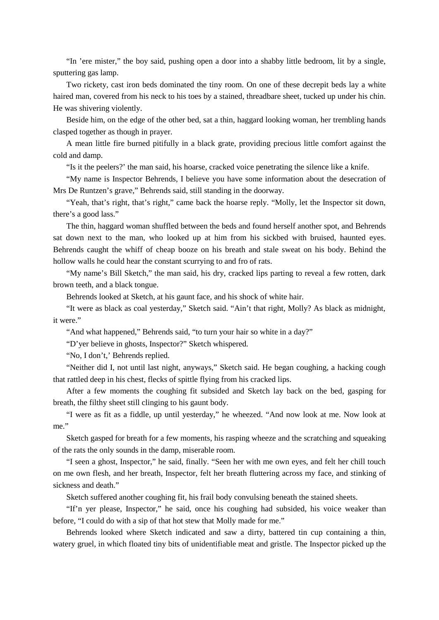"In 'ere mister," the boy said, pushing open a door into a shabby little bedroom, lit by a single, sputtering gas lamp.

Two rickety, cast iron beds dominated the tiny room. On one of these decrepit beds lay a white haired man, covered from his neck to his toes by a stained, threadbare sheet, tucked up under his chin. He was shivering violently.

Beside him, on the edge of the other bed, sat a thin, haggard looking woman, her trembling hands clasped together as though in prayer.

A mean little fire burned pitifully in a black grate, providing precious little comfort against the cold and damp.

"Is it the peelers?' the man said, his hoarse, cracked voice penetrating the silence like a knife.

"My name is Inspector Behrends, I believe you have some information about the desecration of Mrs De Runtzen's grave," Behrends said, still standing in the doorway.

"Yeah, that's right, that's right," came back the hoarse reply. "Molly, let the Inspector sit down, there's a good lass."

The thin, haggard woman shuffled between the beds and found herself another spot, and Behrends sat down next to the man, who looked up at him from his sickbed with bruised, haunted eyes. Behrends caught the whiff of cheap booze on his breath and stale sweat on his body. Behind the hollow walls he could hear the constant scurrying to and fro of rats.

"My name's Bill Sketch," the man said, his dry, cracked lips parting to reveal a few rotten, dark brown teeth, and a black tongue.

Behrends looked at Sketch, at his gaunt face, and his shock of white hair.

"It were as black as coal yesterday," Sketch said. "Ain't that right, Molly? As black as midnight, it were."

"And what happened," Behrends said, "to turn your hair so white in a day?"

"D'yer believe in ghosts, Inspector?" Sketch whispered.

"No, I don't,' Behrends replied.

"Neither did I, not until last night, anyways," Sketch said. He began coughing, a hacking cough that rattled deep in his chest, flecks of spittle flying from his cracked lips.

After a few moments the coughing fit subsided and Sketch lay back on the bed, gasping for breath, the filthy sheet still clinging to his gaunt body.

"I were as fit as a fiddle, up until yesterday," he wheezed. "And now look at me. Now look at me."

Sketch gasped for breath for a few moments, his rasping wheeze and the scratching and squeaking of the rats the only sounds in the damp, miserable room.

"I seen a ghost, Inspector," he said, finally. "Seen her with me own eyes, and felt her chill touch on me own flesh, and her breath, Inspector, felt her breath fluttering across my face, and stinking of sickness and death."

Sketch suffered another coughing fit, his frail body convulsing beneath the stained sheets.

"If'n yer please, Inspector," he said, once his coughing had subsided, his voice weaker than before, "I could do with a sip of that hot stew that Molly made for me."

Behrends looked where Sketch indicated and saw a dirty, battered tin cup containing a thin, watery gruel, in which floated tiny bits of unidentifiable meat and gristle. The Inspector picked up the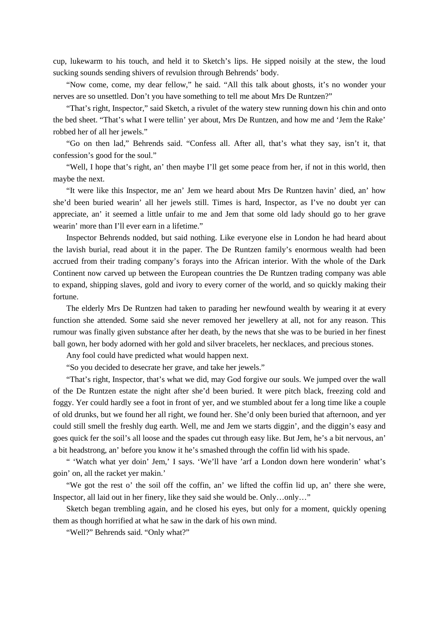cup, lukewarm to his touch, and held it to Sketch's lips. He sipped noisily at the stew, the loud sucking sounds sending shivers of revulsion through Behrends' body.

"Now come, come, my dear fellow," he said. "All this talk about ghosts, it's no wonder your nerves are so unsettled. Don't you have something to tell me about Mrs De Runtzen?"

"That's right, Inspector," said Sketch, a rivulet of the watery stew running down his chin and onto the bed sheet. "That's what I were tellin' yer about, Mrs De Runtzen, and how me and 'Jem the Rake' robbed her of all her jewels."

"Go on then lad," Behrends said. "Confess all. After all, that's what they say, isn't it, that confession's good for the soul."

"Well, I hope that's right, an' then maybe I'll get some peace from her, if not in this world, then maybe the next.

"It were like this Inspector, me an' Jem we heard about Mrs De Runtzen havin' died, an' how she'd been buried wearin' all her jewels still. Times is hard, Inspector, as I've no doubt yer can appreciate, an' it seemed a little unfair to me and Jem that some old lady should go to her grave wearin' more than I'll ever earn in a lifetime."

Inspector Behrends nodded, but said nothing. Like everyone else in London he had heard about the lavish burial, read about it in the paper. The De Runtzen family's enormous wealth had been accrued from their trading company's forays into the African interior. With the whole of the Dark Continent now carved up between the European countries the De Runtzen trading company was able to expand, shipping slaves, gold and ivory to every corner of the world, and so quickly making their fortune.

The elderly Mrs De Runtzen had taken to parading her newfound wealth by wearing it at every function she attended. Some said she never removed her jewellery at all, not for any reason. This rumour was finally given substance after her death, by the news that she was to be buried in her finest ball gown, her body adorned with her gold and silver bracelets, her necklaces, and precious stones.

Any fool could have predicted what would happen next.

"So you decided to desecrate her grave, and take her jewels."

"That's right, Inspector, that's what we did, may God forgive our souls. We jumped over the wall of the De Runtzen estate the night after she'd been buried. It were pitch black, freezing cold and foggy. Yer could hardly see a foot in front of yer, and we stumbled about fer a long time like a couple of old drunks, but we found her all right, we found her. She'd only been buried that afternoon, and yer could still smell the freshly dug earth. Well, me and Jem we starts diggin', and the diggin's easy and goes quick fer the soil's all loose and the spades cut through easy like. But Jem, he's a bit nervous, an' a bit headstrong, an' before you know it he's smashed through the coffin lid with his spade.

" 'Watch what yer doin' Jem,' I says. 'We'll have 'arf a London down here wonderin' what's goin' on, all the racket yer makin.'

"We got the rest o' the soil off the coffin, an' we lifted the coffin lid up, an' there she were, Inspector, all laid out in her finery, like they said she would be. Only…only…"

Sketch began trembling again, and he closed his eyes, but only for a moment, quickly opening them as though horrified at what he saw in the dark of his own mind.

"Well?" Behrends said. "Only what?"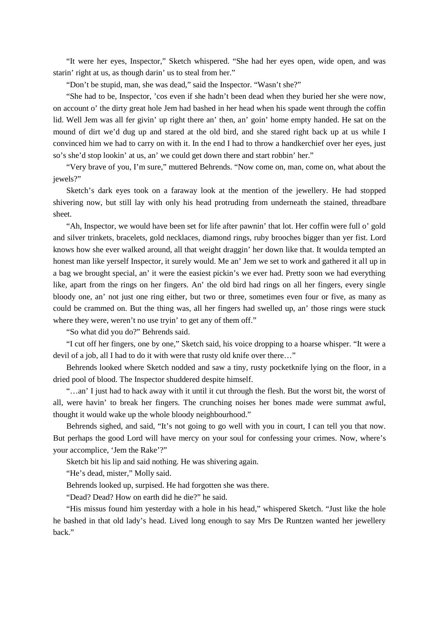"It were her eyes, Inspector," Sketch whispered. "She had her eyes open, wide open, and was starin' right at us, as though darin' us to steal from her."

"Don't be stupid, man, she was dead," said the Inspector. "Wasn't she?"

"She had to be, Inspector, 'cos even if she hadn't been dead when they buried her she were now, on account o' the dirty great hole Jem had bashed in her head when his spade went through the coffin lid. Well Jem was all fer givin' up right there an' then, an' goin' home empty handed. He sat on the mound of dirt we'd dug up and stared at the old bird, and she stared right back up at us while I convinced him we had to carry on with it. In the end I had to throw a handkerchief over her eyes, just so's she'd stop lookin' at us, an' we could get down there and start robbin' her."

"Very brave of you, I'm sure," muttered Behrends. "Now come on, man, come on, what about the jewels?"

Sketch's dark eyes took on a faraway look at the mention of the jewellery. He had stopped shivering now, but still lay with only his head protruding from underneath the stained, threadbare sheet.

"Ah, Inspector, we would have been set for life after pawnin' that lot. Her coffin were full o' gold and silver trinkets, bracelets, gold necklaces, diamond rings, ruby brooches bigger than yer fist. Lord knows how she ever walked around, all that weight draggin' her down like that. It woulda tempted an honest man like yerself Inspector, it surely would. Me an' Jem we set to work and gathered it all up in a bag we brought special, an' it were the easiest pickin's we ever had. Pretty soon we had everything like, apart from the rings on her fingers. An' the old bird had rings on all her fingers, every single bloody one, an' not just one ring either, but two or three, sometimes even four or five, as many as could be crammed on. But the thing was, all her fingers had swelled up, an' those rings were stuck where they were, weren't no use tryin' to get any of them off."

"So what did you do?" Behrends said.

"I cut off her fingers, one by one," Sketch said, his voice dropping to a hoarse whisper. "It were a devil of a job, all I had to do it with were that rusty old knife over there…"

Behrends looked where Sketch nodded and saw a tiny, rusty pocketknife lying on the floor, in a dried pool of blood. The Inspector shuddered despite himself.

"…an' I just had to hack away with it until it cut through the flesh. But the worst bit, the worst of all, were havin' to break her fingers. The crunching noises her bones made were summat awful, thought it would wake up the whole bloody neighbourhood."

Behrends sighed, and said, "It's not going to go well with you in court, I can tell you that now. But perhaps the good Lord will have mercy on your soul for confessing your crimes. Now, where's your accomplice, 'Jem the Rake'?"

Sketch bit his lip and said nothing. He was shivering again.

"He's dead, mister," Molly said.

Behrends looked up, surpised. He had forgotten she was there.

"Dead? Dead? How on earth did he die?" he said.

"His missus found him yesterday with a hole in his head," whispered Sketch. "Just like the hole he bashed in that old lady's head. Lived long enough to say Mrs De Runtzen wanted her jewellery back."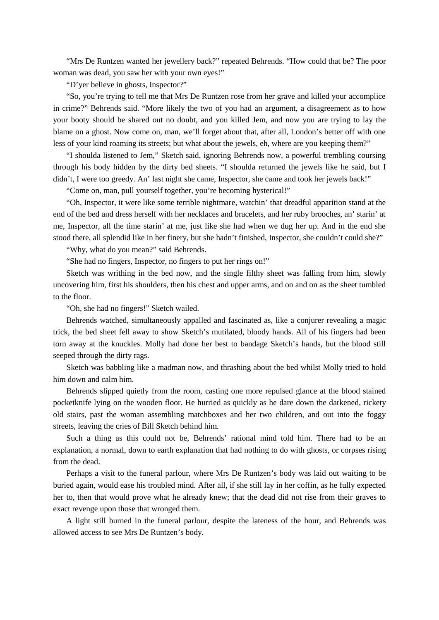"Mrs De Runtzen wanted her jewellery back?" repeated Behrends. "How could that be? The poor woman was dead, you saw her with your own eyes!"

"D'yer believe in ghosts, Inspector?"

"So, you're trying to tell me that Mrs De Runtzen rose from her grave and killed your accomplice in crime?" Behrends said. "More likely the two of you had an argument, a disagreement as to how your booty should be shared out no doubt, and you killed Jem, and now you are trying to lay the blame on a ghost. Now come on, man, we'll forget about that, after all, London's better off with one less of your kind roaming its streets; but what about the jewels, eh, where are you keeping them?"

"I shoulda listened to Jem," Sketch said, ignoring Behrends now, a powerful trembling coursing through his body hidden by the dirty bed sheets. "I shoulda returned the jewels like he said, but I didn't, I were too greedy. An' last night she came, Inspector, she came and took her jewels back!"

"Come on, man, pull yourself together, you're becoming hysterical!"

"Oh, Inspector, it were like some terrible nightmare, watchin' that dreadful apparition stand at the end of the bed and dress herself with her necklaces and bracelets, and her ruby brooches, an' starin' at me, Inspector, all the time starin' at me, just like she had when we dug her up. And in the end she stood there, all splendid like in her finery, but she hadn't finished, Inspector, she couldn't could she?"

"Why, what do you mean?" said Behrends.

"She had no fingers, Inspector, no fingers to put her rings on!"

Sketch was writhing in the bed now, and the single filthy sheet was falling from him, slowly uncovering him, first his shoulders, then his chest and upper arms, and on and on as the sheet tumbled to the floor.

"Oh, she had no fingers!" Sketch wailed.

Behrends watched, simultaneously appalled and fascinated as, like a conjurer revealing a magic trick, the bed sheet fell away to show Sketch's mutilated, bloody hands. All of his fingers had been torn away at the knuckles. Molly had done her best to bandage Sketch's hands, but the blood still seeped through the dirty rags.

Sketch was babbling like a madman now, and thrashing about the bed whilst Molly tried to hold him down and calm him.

Behrends slipped quietly from the room, casting one more repulsed glance at the blood stained pocketknife lying on the wooden floor. He hurried as quickly as he dare down the darkened, rickety old stairs, past the woman assembling matchboxes and her two children, and out into the foggy streets, leaving the cries of Bill Sketch behind him.

Such a thing as this could not be, Behrends' rational mind told him. There had to be an explanation, a normal, down to earth explanation that had nothing to do with ghosts, or corpses rising from the dead.

Perhaps a visit to the funeral parlour, where Mrs De Runtzen's body was laid out waiting to be buried again, would ease his troubled mind. After all, if she still lay in her coffin, as he fully expected her to, then that would prove what he already knew; that the dead did not rise from their graves to exact revenge upon those that wronged them.

A light still burned in the funeral parlour, despite the lateness of the hour, and Behrends was allowed access to see Mrs De Runtzen's body.